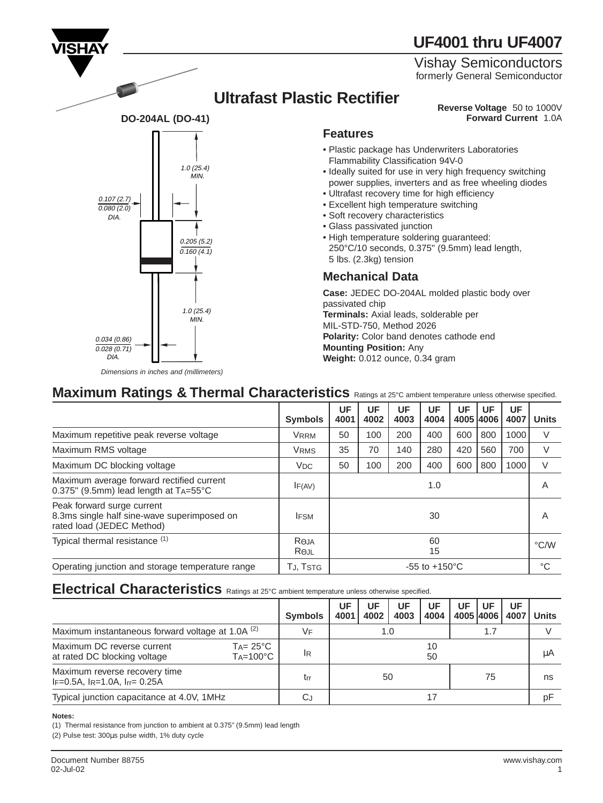# **UF4001 thru UF4007**

Vishay Semiconductors formerly General Semiconductor

## **Ultrafast Plastic Rectifier**

**Reverse Voltage** 50 to 1000V **Forward Current** 1.0A

#### **Features**

- Plastic package has Underwriters Laboratories Flammability Classification 94V-0
- Ideally suited for use in very high frequency switching power supplies, inverters and as free wheeling diodes
- Ultrafast recovery time for high efficiency
- Excellent high temperature switching
- Soft recovery characteristics
- Glass passivated junction
- High temperature soldering guaranteed: 250°C/10 seconds, 0.375" (9.5mm) lead length, 5 lbs. (2.3kg) tension

#### **Mechanical Data**

**Case:** JEDEC DO-204AL molded plastic body over passivated chip **Terminals:** Axial leads, solderable per MIL-STD-750, Method 2026 **Polarity:** Color band denotes cathode end **Mounting Position:** Any **Weight:** 0.012 ounce, 0.34 gram

| Maximum Ratings & Thermal Characteristics Ratings at 25°C ambient temperature unless otherwise specified. |  |  |  |
|-----------------------------------------------------------------------------------------------------------|--|--|--|
|                                                                                                           |  |  |  |

|                                                                                                        | <b>Symbols</b>                     | UF<br>4001                | UF<br>4002 | UF<br>4003 | UF<br>4004 | UF  | UF<br>4005 4006 | UF<br>4007 | <b>Units</b>  |
|--------------------------------------------------------------------------------------------------------|------------------------------------|---------------------------|------------|------------|------------|-----|-----------------|------------|---------------|
| Maximum repetitive peak reverse voltage                                                                | <b>VRRM</b>                        | 50                        | 100        | 200        | 400        | 600 | 800             | 1000       | V             |
| Maximum RMS voltage                                                                                    | <b>VRMS</b>                        | 35                        | 70         | 140        | 280        | 420 | 560             | 700        | V             |
| Maximum DC blocking voltage                                                                            | V <sub>DC</sub>                    | 50                        | 100        | 200        | 400        | 600 | 800             | 1000       | V             |
| Maximum average forward rectified current<br>0.375" (9.5mm) lead length at TA=55°C                     | IF(AV)                             | 1.0                       |            |            |            |     |                 |            | A             |
| Peak forward surge current<br>8.3ms single half sine-wave superimposed on<br>rated load (JEDEC Method) | <b>IFSM</b>                        | 30                        |            |            |            |     |                 | Α          |               |
| Typical thermal resistance (1)                                                                         | $R_{\Theta}$ JA<br>$R_{\Theta}$ JL | 60<br>15                  |            |            |            |     |                 |            | $\degree$ C/W |
| Operating junction and storage temperature range                                                       | TJ, TSTG                           | $-55$ to $+150^{\circ}$ C |            |            |            |     |                 |            | °C            |

## Electrical Characteristics **Ratings at 25°C** ambient temperature unless otherwise specified.

|                                                                                                       | <b>Symbols</b> | UF<br>4001 | UF<br>4002 | UF<br>4003 | UF<br>4004 | UF | UF<br>4005 4006 1 | UF<br>4007 | <b>Units</b> |
|-------------------------------------------------------------------------------------------------------|----------------|------------|------------|------------|------------|----|-------------------|------------|--------------|
| Maximum instantaneous forward voltage at 1.0A (2)                                                     | VF             |            |            | 1.0        |            |    | 1.7               |            |              |
| Maximum DC reverse current<br>$Ta = 25^{\circ}C$<br>$Ta=100^{\circ}C$<br>at rated DC blocking voltage | IR             | 10<br>50   |            |            |            |    |                   |            | μA           |
| Maximum reverse recovery time<br>$IF=0.5A$ , $IR=1.0A$ , $Ir = 0.25A$                                 | trr            | 75<br>50   |            |            |            |    |                   | ns         |              |
| Typical junction capacitance at 4.0V, 1MHz                                                            | СJ             |            |            |            |            |    |                   | p۲         |              |

#### **Notes:**

(1) Thermal resistance from junction to ambient at 0.375" (9.5mm) lead length (2) Pulse test: 300µs pulse width, 1% duty cycle



Dimensions in inches and (millimeters)